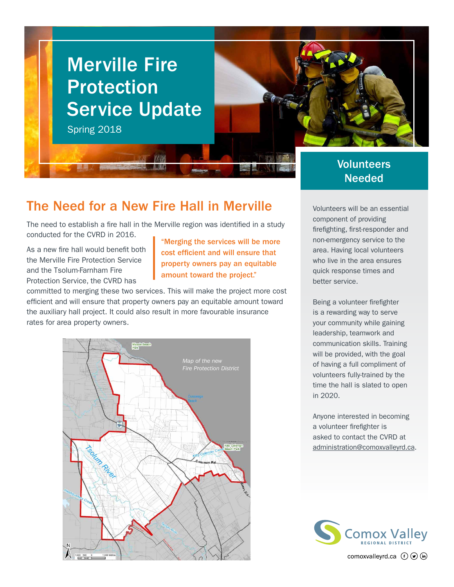

#### The Need for a New Fire Hall in Merville

The need to establish a fire hall in the Merville region was identified in a study conducted for the CVRD in 2016.

As a new fire hall would benefit both the Merville Fire Protection Service and the Tsolum-Farnham Fire Protection Service, the CVRD has

"Merging the services will be more cost efficient and will ensure that property owners pay an equitable amount toward the project."

committed to merging these two services. This will make the project more cost efficient and will ensure that property owners pay an equitable amount toward the auxiliary hall project. It could also result in more favourable insurance rates for area property owners.



# Needed

Volunteers will be an essential component of providing firefighting, first-responder and non-emergency service to the area. Having local volunteers who live in the area ensures quick response times and better service.

Being a volunteer firefighter is a rewarding way to serve your community while gaining leadership, teamwork and communication skills. Training will be provided, with the goal of having a full compliment of volunteers fully-trained by the time the hall is slated to open in 2020.

Anyone interested in becoming a volunteer firefighter is asked to contact the CVRD at [administration@comoxvalleyrd.ca](mailto:administration%40comoxvalleyrd.ca?subject=).